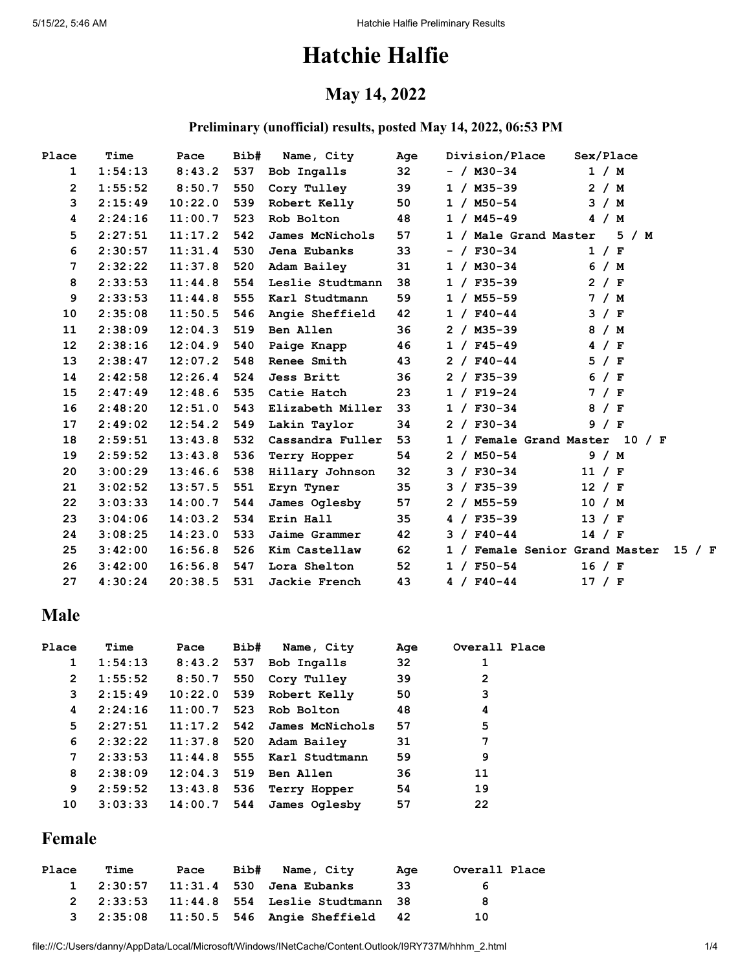# **Hatchie Halfie**

### **May 14, 2022**

#### **Preliminary (unofficial) results, posted May 14, 2022, 06:53 PM**

| Place           | Time    | Pace    | Bib# | Name, City           | Age    | Division/Place | Sex/Place                             |
|-----------------|---------|---------|------|----------------------|--------|----------------|---------------------------------------|
| $\mathbf{1}$    | 1:54:13 | 8:43.2  | 537  | <b>Bob Ingalls</b>   | $32 -$ | - / M30-34     | 1 / M                                 |
| $\mathbf{2}$    | 1:55:52 | 8:50.7  | 550  | Cory Tulley          | 39     | 1 / M35-39     | 2 / M                                 |
| 3               | 2:15:49 | 10:22.0 | 539  | Robert Kelly         | 50     | $1 / M50-54$   | 3 / M                                 |
| 4               | 2:24:16 | 11:00.7 | 523  | Rob Bolton           | 48     | 1 / M45-49     | 4 / M                                 |
| 5               | 2:27:51 | 11:17.2 | 542  | James McNichols      | 57     |                | 1 / Male Grand Master 5 / M           |
| 6               | 2:30:57 | 11:31.4 | 530  | Jena Eubanks         | 33     | $- / F30-34$   | 1 / F                                 |
| 7               | 2:32:22 | 11:37.8 | 520  | Adam Bailey          | 31     | 1 / M30-34     | 6 / M                                 |
| 8               | 2:33:53 | 11:44.8 | 554  | Leslie Studtmann     | 38     | $1 / F35 - 39$ | 2 / F                                 |
| 9               | 2:33:53 | 11:44.8 | 555  | Karl Studtmann       | 59     | 1 / M55-59     | 7 / M                                 |
| 10              | 2:35:08 | 11:50.5 | 546  | Angie Sheffield      | 42     | $1 / F40 - 44$ | 3 / F                                 |
| 11              | 2:38:09 | 12:04.3 | 519  | Ben Allen            | 36     | 2 / M35-39     | 8 / M                                 |
| 12 <sup>2</sup> | 2:38:16 | 12:04.9 | 540  | Paige Knapp          | 46     | $1 / F45 - 49$ | 4 / F                                 |
| 13              | 2:38:47 | 12:07.2 | 548  | <b>Renee Smith</b>   | 43     | $2 / F40 - 44$ | 5 / F                                 |
| 14              | 2:42:58 | 12:26.4 | 524  | <b>Jess Britt</b>    | 36     | $2 / F35 - 39$ | 6<br>$/$ F                            |
| 15              | 2:47:49 | 12:48.6 | 535  | Catie Hatch          | 23     | $1 / F19-24$   | 7 / F                                 |
| 16              | 2:48:20 | 12:51.0 | 543  | Elizabeth Miller     | 33     | $1 / F30-34$   | 8 / F                                 |
| 17              | 2:49:02 | 12:54.2 | 549  | Lakin Taylor         | 34     | $2 / F30-34$   | 9 / F                                 |
| 18              | 2:59:51 | 13:43.8 | 532  | Cassandra Fuller     | 53     |                | 1 / Female Grand Master 10 / F        |
| 19              | 2:59:52 | 13:43.8 | 536  | Terry Hopper         | 54     | 2 / M50-54     | 9/M                                   |
| 20              | 3:00:29 | 13:46.6 | 538  | Hillary Johnson      | 32     | $3 / F30-34$   | 11 / F                                |
| 21              | 3:02:52 | 13:57.5 | 551  | Eryn Tyner           | 35     | $3 / F35 - 39$ | 12 / F                                |
| 22              | 3:03:33 | 14:00.7 | 544  | James Oglesby        | 57     | 2 / M55-59     | 10 / M                                |
| 23              | 3:04:06 | 14:03.2 | 534  | Erin Hall            | 35     | $4 / F35 - 39$ | 13 / F                                |
| 24              | 3:08:25 | 14:23.0 | 533  | <b>Jaime Grammer</b> | 42     | $3 / F40 - 44$ | 14 / F                                |
| 25              | 3:42:00 | 16:56.8 | 526  | Kim Castellaw        | 62     |                | 1 / Female Senior Grand Master 15 / F |
| 26              | 3:42:00 | 16:56.8 | 547  | Lora Shelton         | 52     | $1 / F50-54$   | 16 / F                                |
| 27              | 4:30:24 | 20:38.5 | 531  | <b>Jackie French</b> | 43     | $4 / F40 - 44$ | 17 / F                                |

### **Male**

| Place          | Time    | Pace         | Bib# | Name, City                    | Age | Overall Place |
|----------------|---------|--------------|------|-------------------------------|-----|---------------|
| 1              | 1:54:13 | $8:43.2$ 537 |      | Bob Ingalls                   | 32  |               |
| $\overline{2}$ | 1:55:52 | 8:50.7       |      | 550 Cory Tulley               | 39  | 2             |
| 3              | 2:15:49 | 10:22.0      |      | 539 Robert Kelly              | 50  | 3             |
| 4              | 2:24:16 | 11:00.7      |      | 523 Rob Bolton                | 48  | 4             |
| 5              | 2:27:51 |              |      | $11:17.2$ 542 James McNichols | 57  | 5             |
| 6              | 2:32:22 |              |      | $11:37.8$ 520 Adam Bailey     | 31  | 7             |
| 7              | 2:33:53 |              |      | $11:44.8$ 555 Karl Studtmann  | 59  | 9             |
| 8              | 2:38:09 | 12:04.3      |      | 519 Ben Allen                 | 36  | 11            |
| 9              | 2:59:52 | 13:43.8      | 536  | Terry Hopper                  | 54  | 19            |
| 10             | 3:03:33 | 14:00.7      |      | 544 James Oglesby             | 57  | 22            |

### **Female**

| Place | Time |  | Pace Bib# Name, City                               | Age  | Overall Place |
|-------|------|--|----------------------------------------------------|------|---------------|
|       |      |  | 1 2:30:57 11:31.4 530 Jena Eubanks                 | -33- | 6             |
|       |      |  | 2 2:33:53 11:44.8 554 Leslie Studtmann 38          |      | -8            |
|       |      |  | 3   2:35:08   11:50.5   546   Angie Sheffield   42 |      | 10            |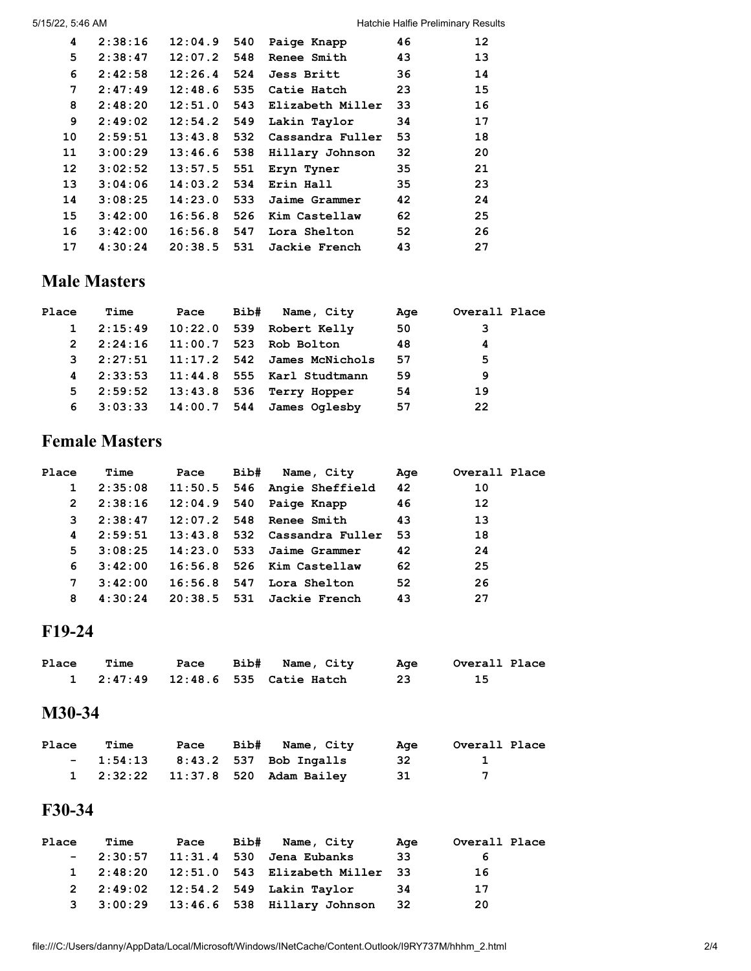| 4  | 2:38:16 | 12:04.9       | 540  | Paige Knapp          | 46 | 12 |
|----|---------|---------------|------|----------------------|----|----|
| 5  | 2:38:47 | 12:07.2       | 548  | <b>Renee Smith</b>   | 43 | 13 |
| 6  | 2:42:58 | $12:26.4$ 524 |      | Jess Britt           | 36 | 14 |
| 7  | 2:47:49 | 12:48.6       | 535  | Catie Hatch          | 23 | 15 |
| 8  | 2:48:20 | 12:51.0       | 543  | Elizabeth Miller     | 33 | 16 |
| 9  | 2:49:02 | 12:54.2       | 549  | Lakin Taylor         | 34 | 17 |
| 10 | 2:59:51 | 13:43.8       | 532  | Cassandra Fuller     | 53 | 18 |
| 11 | 3:00:29 | 13:46.6       | 538  | Hillary Johnson      | 32 | 20 |
| 12 | 3:02:52 | 13:57.5       | 551  | Eryn Tyner           | 35 | 21 |
| 13 | 3:04:06 | 14:03.2       | 534  | Erin Hall            | 35 | 23 |
| 14 | 3:08:25 | 14:23.0       | -533 | Jaime Grammer        | 42 | 24 |
| 15 | 3:42:00 | 16:56.8       | 526  | Kim Castellaw        | 62 | 25 |
| 16 | 3:42:00 | 16:56.8       | 547  | Lora Shelton         | 52 | 26 |
| 17 | 4:30:24 | 20:38.5       | 531  | <b>Jackie French</b> | 43 | 27 |
|    |         |               |      |                      |    |    |

### **Male Masters**

| Place        | <b>Time</b>       |  | Pace Bib# Name, City                    | Age | Overall Place |
|--------------|-------------------|--|-----------------------------------------|-----|---------------|
| $\mathbf{1}$ |                   |  | 2:15:49  10:22.0  539  Robert Kelly     | 50  | $\mathbf{3}$  |
| $2^{\circ}$  |                   |  | 2:24:16   11:00.7   523   Rob Bolton    | 48  | 4             |
| 3            |                   |  | $2:27:51$ $11:17.2$ 542 James McNichols | 57  | 5             |
|              |                   |  | 4 2:33:53 11:44.8 555 Karl Studtmann    | 59  | 9             |
|              | $5 \quad 2:59:52$ |  | $13:43.8$ 536 Terry Hopper              | 54  | 19            |
|              |                   |  | 6 $3:03:33$ $14:00.7$ 544 James Oglesby | 57  | -22           |

### **Female Masters**

| Place        | Time    | Pace | Bib# Name, City                   | Age | Overall Place     |
|--------------|---------|------|-----------------------------------|-----|-------------------|
| $\mathbf{1}$ | 2:35:08 |      | $11:50.5$ 546 Angie Sheffield     | 42  | 10                |
| $\mathbf{2}$ | 2:38:16 |      | $12:04.9$ 540 Paige Knapp         | 46  | $12 \overline{ }$ |
| 3            | 2:38:47 |      | $12:07.2$ 548 Renee Smith         | 43  | 13                |
| 4            | 2:59:51 |      | $13:43.8$ 532 Cassandra Fuller 53 |     | 18                |
| 5.           | 3:08:25 |      | $14:23.0$ 533 Jaime Grammer       | 42  | 24                |
| 6            | 3:42:00 |      | $16:56.8$ 526 Kim Castellaw       | 62  | 25                |
| 7            | 3:42:00 |      | $16:56.8$ 547 Lora Shelton        | 52  | 26                |
| 8            | 4:30:24 |      | $20:38.5$ 531 Jackie French       | 43  | 27                |

### **F19-24**

| Place | <b>Time</b> |  | Pace Bib# Name, City              | Age Overall Place |
|-------|-------------|--|-----------------------------------|-------------------|
|       |             |  | 1 2:47:49 12:48.6 535 Catie Hatch |                   |

#### **M30-34**

| Place | Time | Pace | Bib# Name, City                    | Aae  | Overall Place |
|-------|------|------|------------------------------------|------|---------------|
|       |      |      | $-$ 1:54:13 8:43.2 537 Bob Ingalls | -32  |               |
|       |      |      | 1 2:32:22 11:37.8 520 Adam Bailey  | - 31 | $\mathbf{z}$  |

#### **F30-34**

| Place | Time |  | Pace Bib# Name, City                      | Aae  | Overall Place |
|-------|------|--|-------------------------------------------|------|---------------|
|       |      |  | $-2:30:57$ 11:31.4 530 Jena Eubanks       | 33   | 6             |
|       |      |  | 1 2:48:20 12:51.0 543 Elizabeth Miller 33 |      | 16            |
|       |      |  | 2 2:49:02 12:54.2 549 Lakin Taylor        | -34  | 17            |
|       |      |  | 3 3:00:29 13:46.6 538 Hillary Johnson     | - 32 | -20           |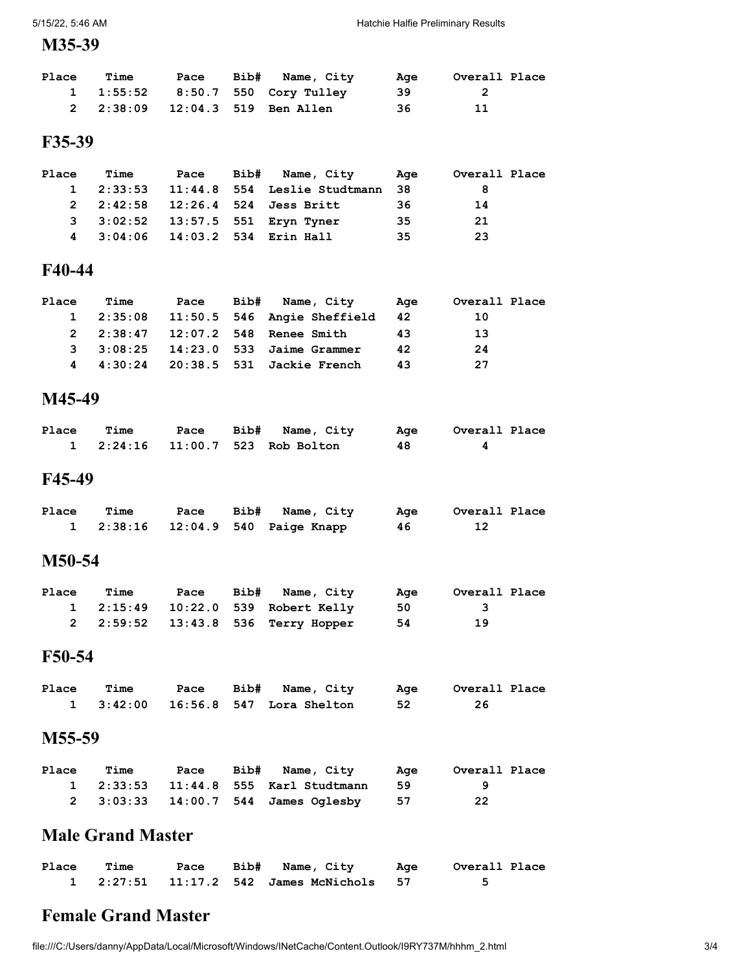#### **M35-39**

| <b>Place</b> | Time | Pace | Bib# Name, City                  | Aae  | Overall Place |  |
|--------------|------|------|----------------------------------|------|---------------|--|
|              |      |      | 1 1:55:52 8:50.7 550 Cory Tulley | -39- |               |  |
|              |      |      | 2 2:38:09 12:04.3 519 Ben Allen  | 36   | 11            |  |

#### **F35-39**

| <b>Place</b> | <b>Time</b> |  | Pace Bib# Name, City                      | Aae | Overall Place |
|--------------|-------------|--|-------------------------------------------|-----|---------------|
|              |             |  | 1 2:33:53 11:44.8 554 Leslie Studtmann 38 |     | 8             |
|              |             |  | 2 2:42:58 12:26.4 524 Jess Britt          | -36 | 14            |
|              |             |  | 3 3:02:52 13:57.5 551 Eryn Tyner          | 35. | 21            |
|              |             |  | 4 3:04:06 14:03.2 534 Erin Hall           | -35 | -23           |

#### **F40-44**

| <b>Place</b> | <b>Time</b> |  | Pace Bib# Name, City                          | Aqe | Overall Place |
|--------------|-------------|--|-----------------------------------------------|-----|---------------|
|              |             |  | 1  2:35:08  11:50.5  546  Angie Sheffield  42 |     | 10            |
|              |             |  | 2 2:38:47 12:07.2 548 Renee Smith             | 43  | 13            |
|              |             |  | 3 3:08:25 14:23.0 533 Jaime Grammer           | 42  | 24            |
|              |             |  | 4 4:30:24 20:38.5 531 Jackie French           | 43  | 27            |
|              |             |  |                                               |     |               |

#### **M45-49**

| Place | Time |  | Pace Bib# Name, City                 |     | Age Overall Place |
|-------|------|--|--------------------------------------|-----|-------------------|
|       |      |  | 1  2:24:16  11:00.7  523  Rob Bolton | -48 |                   |

#### **F45-49**

| Place | Time |  | Pace Bib# Name, City              |    | Age Overall Place |
|-------|------|--|-----------------------------------|----|-------------------|
|       |      |  | 1 2:38:16 12:04.9 540 Paige Knapp | 46 |                   |

#### **M50-54**

| Place | Time | Pace | Bib# Name, City                    | Aae  | Overall Place |  |
|-------|------|------|------------------------------------|------|---------------|--|
|       |      |      | 1 2:15:49 10:22.0 539 Robert Kelly | - 50 | - 3           |  |
|       |      |      | 2 2:59:52 13:43.8 536 Terry Hopper | -54  | 19            |  |

### **F50-54**

| Place | Time |  | Pace Bib# Name, City               | Age Overall Place |
|-------|------|--|------------------------------------|-------------------|
|       |      |  | 1 3:42:00 16:56.8 547 Lora Shelton |                   |

### **M55-59**

| Place | Time | Pace | Bib# Name, City                      | Aae | Overall Place |
|-------|------|------|--------------------------------------|-----|---------------|
|       |      |      | 1 2:33:53 11:44.8 555 Karl Studtmann | 59  |               |
|       |      |      | 2 3:03:33 14:00.7 544 James Oglesby  | 57  | -22           |

## **Male Grand Master**

| Place | Time |  | Pace Bib# Name, City                          | Age Overall Place |
|-------|------|--|-----------------------------------------------|-------------------|
|       |      |  | 1  2:27:51  11:17.2  542  James McNichols  57 |                   |

## **Female Grand Master**